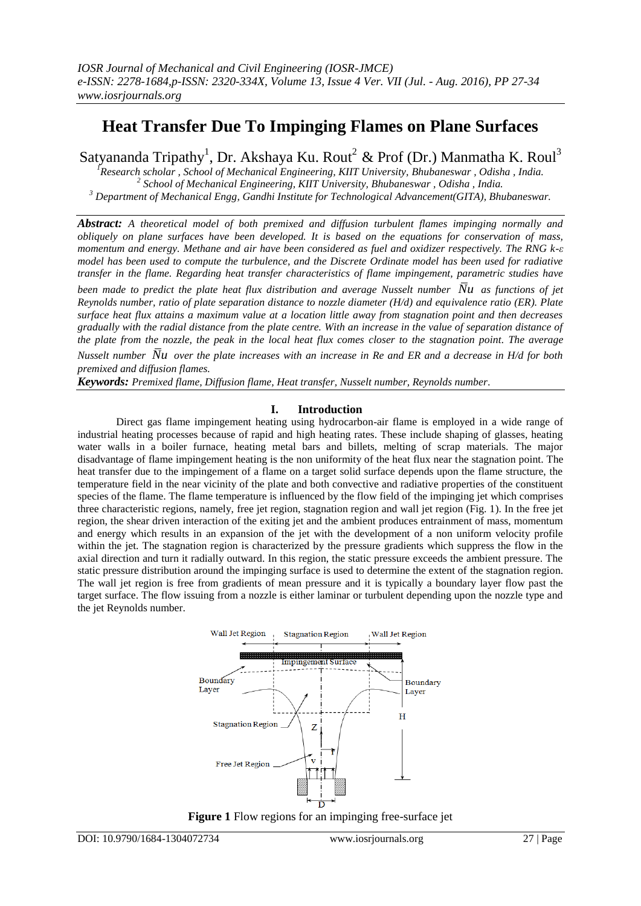# **Heat Transfer Due To Impinging Flames on Plane Surfaces**

Satyananda Tripathy<sup>1</sup>, Dr. Akshaya Ku. Rout<sup>2</sup> & Prof (Dr.) Manmatha K. Roul<sup>3</sup>

*<sup>1</sup>Research scholar , School of Mechanical Engineering, KIIT University, Bhubaneswar , Odisha , India. 2 School of Mechanical Engineering, KIIT University, Bhubaneswar , Odisha , India. <sup>3</sup> Department of Mechanical Engg, Gandhi Institute for Technological Advancement(GITA), Bhubaneswar.*

*Abstract: A theoretical model of both premixed and diffusion turbulent flames impinging normally and obliquely on plane surfaces have been developed. It is based on the equations for conservation of mass, momentum and energy. Methane and air have been considered as fuel and oxidizer respectively. The RNG k-ε model has been used to compute the turbulence, and the Discrete Ordinate model has been used for radiative transfer in the flame. Regarding heat transfer characteristics of flame impingement, parametric studies have been made to predict the plate heat flux distribution and average Nusselt number Nu as functions of jet Reynolds number, ratio of plate separation distance to nozzle diameter (H/d) and equivalence ratio (ER). Plate surface heat flux attains a maximum value at a location little away from stagnation point and then decreases gradually with the radial distance from the plate centre. With an increase in the value of separation distance of the plate from the nozzle, the peak in the local heat flux comes closer to the stagnation point. The average Nusselt number Nu* over the plate increases with an increase in Re and ER and a decrease in H/d for both

*premixed and diffusion flames. Keywords: Premixed flame, Diffusion flame, Heat transfer, Nusselt number, Reynolds number.*

# **I. Introduction**

Direct gas flame impingement heating using hydrocarbon-air flame is employed in a wide range of industrial heating processes because of rapid and high heating rates. These include shaping of glasses, heating water walls in a boiler furnace, heating metal bars and billets, melting of scrap materials. The major disadvantage of flame impingement heating is the non uniformity of the heat flux near the stagnation point. The heat transfer due to the impingement of a flame on a target solid surface depends upon the flame structure, the temperature field in the near vicinity of the plate and both convective and radiative properties of the constituent species of the flame. The flame temperature is influenced by the flow field of the impinging jet which comprises three characteristic regions, namely, free jet region, stagnation region and wall jet region (Fig. 1). In the free jet region, the shear driven interaction of the exiting jet and the ambient produces entrainment of mass, momentum and energy which results in an expansion of the jet with the development of a non uniform velocity profile within the jet. The stagnation region is characterized by the pressure gradients which suppress the flow in the axial direction and turn it radially outward. In this region, the static pressure exceeds the ambient pressure. The static pressure distribution around the impinging surface is used to determine the extent of the stagnation region. The wall jet region is free from gradients of mean pressure and it is typically a boundary layer flow past the target surface. The flow issuing from a nozzle is either laminar or turbulent depending upon the nozzle type and the jet Reynolds number.



**Figure 1** Flow regions for an impinging free-surface jet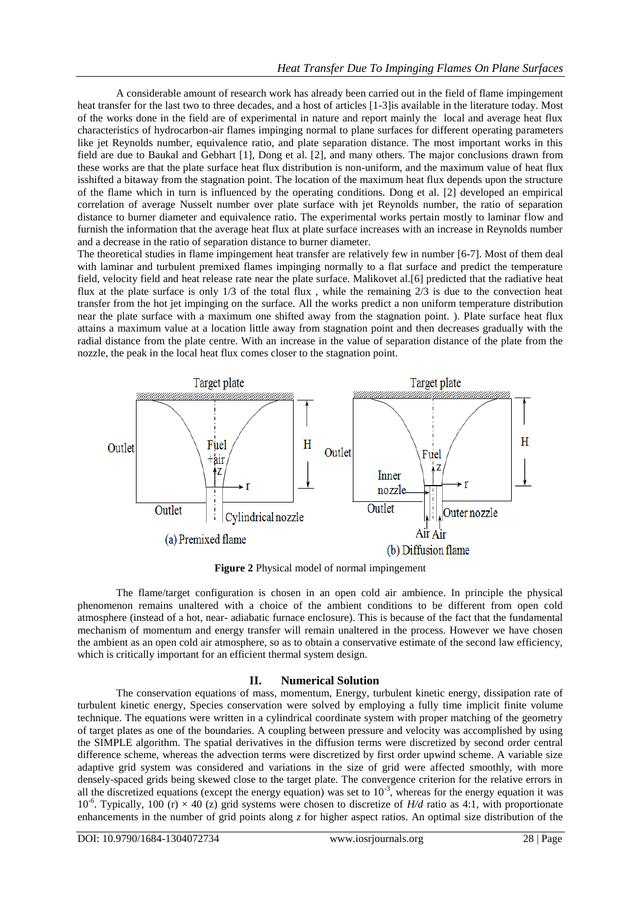A considerable amount of research work has already been carried out in the field of flame impingement heat transfer for the last two to three decades, and a host of articles [1-3]is available in the literature today. Most of the works done in the field are of experimental in nature and report mainly the local and average heat flux characteristics of hydrocarbon-air flames impinging normal to plane surfaces for different operating parameters like jet Reynolds number, equivalence ratio, and plate separation distance. The most important works in this field are due to Baukal and Gebhart [1], Dong et al. [2], and many others. The major conclusions drawn from these works are that the plate surface heat flux distribution is non-uniform, and the maximum value of heat flux isshifted a bitaway from the stagnation point. The location of the maximum heat flux depends upon the structure of the flame which in turn is influenced by the operating conditions. Dong et al. [2] developed an empirical correlation of average Nusselt number over plate surface with jet Reynolds number, the ratio of separation distance to burner diameter and equivalence ratio. The experimental works pertain mostly to laminar flow and furnish the information that the average heat flux at plate surface increases with an increase in Reynolds number and a decrease in the ratio of separation distance to burner diameter.

The theoretical studies in flame impingement heat transfer are relatively few in number [6-7]. Most of them deal with laminar and turbulent premixed flames impinging normally to a flat surface and predict the temperature field, velocity field and heat release rate near the plate surface. Malikovet al.[6] predicted that the radiative heat flux at the plate surface is only 1/3 of the total flux , while the remaining 2/3 is due to the convection heat transfer from the hot jet impinging on the surface. All the works predict a non uniform temperature distribution near the plate surface with a maximum one shifted away from the stagnation point. ). Plate surface heat flux attains a maximum value at a location little away from stagnation point and then decreases gradually with the radial distance from the plate centre. With an increase in the value of separation distance of the plate from the nozzle, the peak in the local heat flux comes closer to the stagnation point.



**Figure 2** Physical model of normal impingement

The flame/target configuration is chosen in an open cold air ambience. In principle the physical phenomenon remains unaltered with a choice of the ambient conditions to be different from open cold atmosphere (instead of a hot, near- adiabatic furnace enclosure). This is because of the fact that the fundamental mechanism of momentum and energy transfer will remain unaltered in the process. However we have chosen the ambient as an open cold air atmosphere, so as to obtain a conservative estimate of the second law efficiency, which is critically important for an efficient thermal system design.

# **II. Numerical Solution**

The conservation equations of mass, momentum, Energy, turbulent kinetic energy, dissipation rate of turbulent kinetic energy, Species conservation were solved by employing a fully time implicit finite volume technique. The equations were written in a cylindrical coordinate system with proper matching of the geometry of target plates as one of the boundaries. A coupling between pressure and velocity was accomplished by using the SIMPLE algorithm. The spatial derivatives in the diffusion terms were discretized by second order central difference scheme, whereas the advection terms were discretized by first order upwind scheme. A variable size adaptive grid system was considered and variations in the size of grid were affected smoothly, with more densely-spaced grids being skewed close to the target plate. The convergence criterion for the relative errors in all the discretized equations (except the energy equation) was set to  $10^{-3}$ , whereas for the energy equation it was  $10^{-6}$ . Typically,  $100(r) \times 40$  (z) grid systems were chosen to discretize of *H/d* ratio as 4:1, with proportionate enhancements in the number of grid points along *z* for higher aspect ratios. An optimal size distribution of the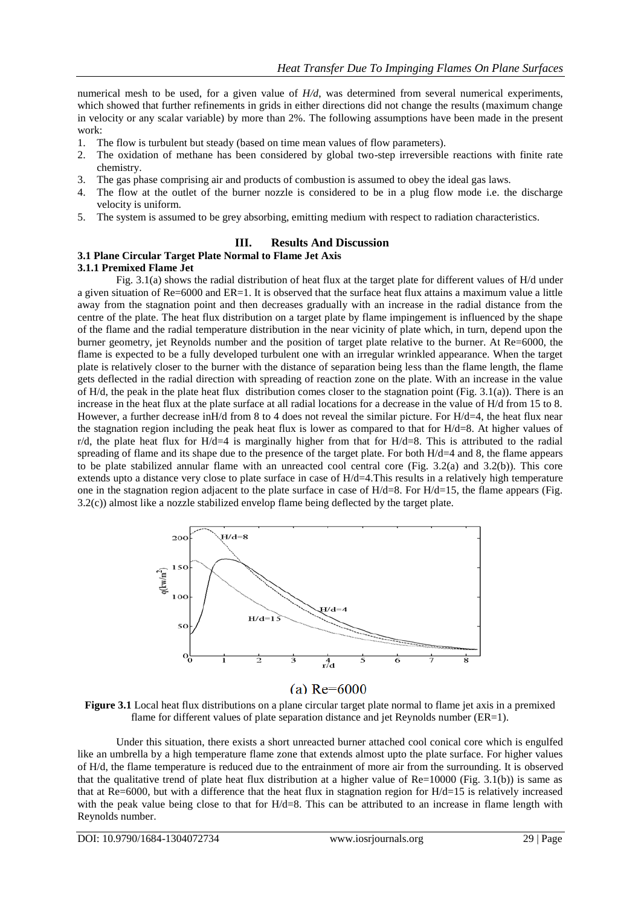numerical mesh to be used, for a given value of *H/d*, was determined from several numerical experiments, which showed that further refinements in grids in either directions did not change the results (maximum change in velocity or any scalar variable) by more than 2%. The following assumptions have been made in the present work:

- 1. The flow is turbulent but steady (based on time mean values of flow parameters).
- 2. The oxidation of methane has been considered by global two-step irreversible reactions with finite rate chemistry.
- 3. The gas phase comprising air and products of combustion is assumed to obey the ideal gas laws.
- 4. The flow at the outlet of the burner nozzle is considered to be in a plug flow mode i.e. the discharge velocity is uniform.
- 5. The system is assumed to be grey absorbing, emitting medium with respect to radiation characteristics.

### **III. Results And Discussion**

# **3.1 Plane Circular Target Plate Normal to Flame Jet Axis**

### **3.1.1 Premixed Flame Jet**

Fig. 3.1(a) shows the radial distribution of heat flux at the target plate for different values of H/d under a given situation of Re=6000 and ER=1. It is observed that the surface heat flux attains a maximum value a little away from the stagnation point and then decreases gradually with an increase in the radial distance from the centre of the plate. The heat flux distribution on a target plate by flame impingement is influenced by the shape of the flame and the radial temperature distribution in the near vicinity of plate which, in turn, depend upon the burner geometry, jet Reynolds number and the position of target plate relative to the burner. At Re=6000, the flame is expected to be a fully developed turbulent one with an irregular wrinkled appearance. When the target plate is relatively closer to the burner with the distance of separation being less than the flame length, the flame gets deflected in the radial direction with spreading of reaction zone on the plate. With an increase in the value of H/d, the peak in the plate heat flux distribution comes closer to the stagnation point (Fig. 3.1(a)). There is an increase in the heat flux at the plate surface at all radial locations for a decrease in the value of H/d from 15 to 8. However, a further decrease inH/d from 8 to 4 does not reveal the similar picture. For H/d=4, the heat flux near the stagnation region including the peak heat flux is lower as compared to that for H/d=8. At higher values of  $r/d$ , the plate heat flux for H/d=4 is marginally higher from that for H/d=8. This is attributed to the radial spreading of flame and its shape due to the presence of the target plate. For both  $H/d=4$  and 8, the flame appears to be plate stabilized annular flame with an unreacted cool central core (Fig. 3.2(a) and 3.2(b)). This core extends upto a distance very close to plate surface in case of H/d=4.This results in a relatively high temperature one in the stagnation region adjacent to the plate surface in case of  $H/d=8$ . For  $H/d=15$ , the flame appears (Fig. 3.2(c)) almost like a nozzle stabilized envelop flame being deflected by the target plate.



# (a)  $Re = 6000$

**Figure 3.1** Local heat flux distributions on a plane circular target plate normal to flame jet axis in a premixed flame for different values of plate separation distance and jet Reynolds number (ER=1).

Under this situation, there exists a short unreacted burner attached cool conical core which is engulfed like an umbrella by a high temperature flame zone that extends almost upto the plate surface. For higher values of H/d, the flame temperature is reduced due to the entrainment of more air from the surrounding. It is observed that the qualitative trend of plate heat flux distribution at a higher value of Re=10000 (Fig. 3.1(b)) is same as that at Re=6000, but with a difference that the heat flux in stagnation region for H/d=15 is relatively increased with the peak value being close to that for  $H/d=8$ . This can be attributed to an increase in flame length with Reynolds number.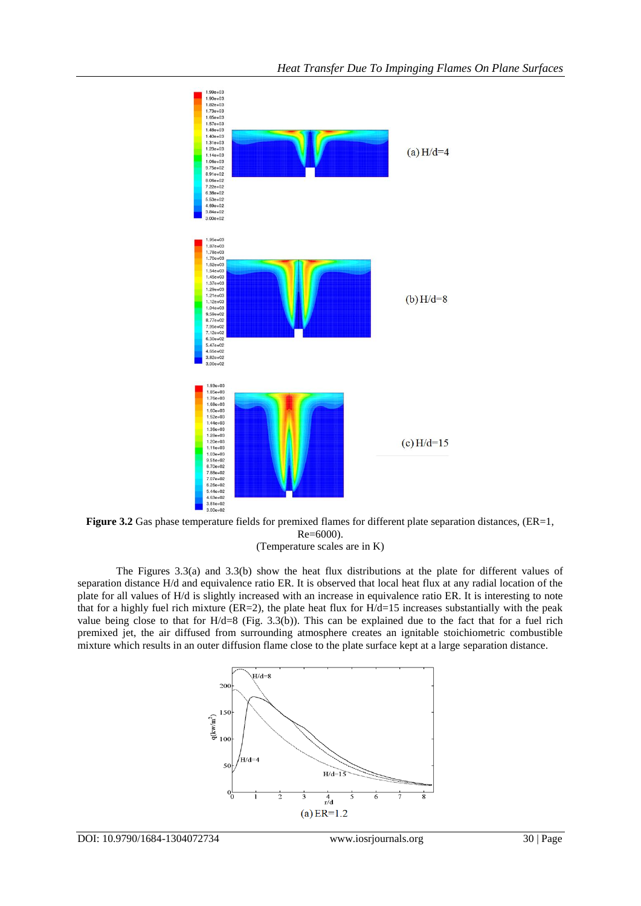

**Figure 3.2** Gas phase temperature fields for premixed flames for different plate separation distances, (ER=1, Re=6000).

(Temperature scales are in K)

The Figures 3.3(a) and 3.3(b) show the heat flux distributions at the plate for different values of separation distance H/d and equivalence ratio ER. It is observed that local heat flux at any radial location of the plate for all values of H/d is slightly increased with an increase in equivalence ratio ER. It is interesting to note that for a highly fuel rich mixture ( $ER=2$ ), the plate heat flux for  $H/d=15$  increases substantially with the peak value being close to that for H/d=8 (Fig. 3.3(b)). This can be explained due to the fact that for a fuel rich premixed jet, the air diffused from surrounding atmosphere creates an ignitable stoichiometric combustible mixture which results in an outer diffusion flame close to the plate surface kept at a large separation distance.

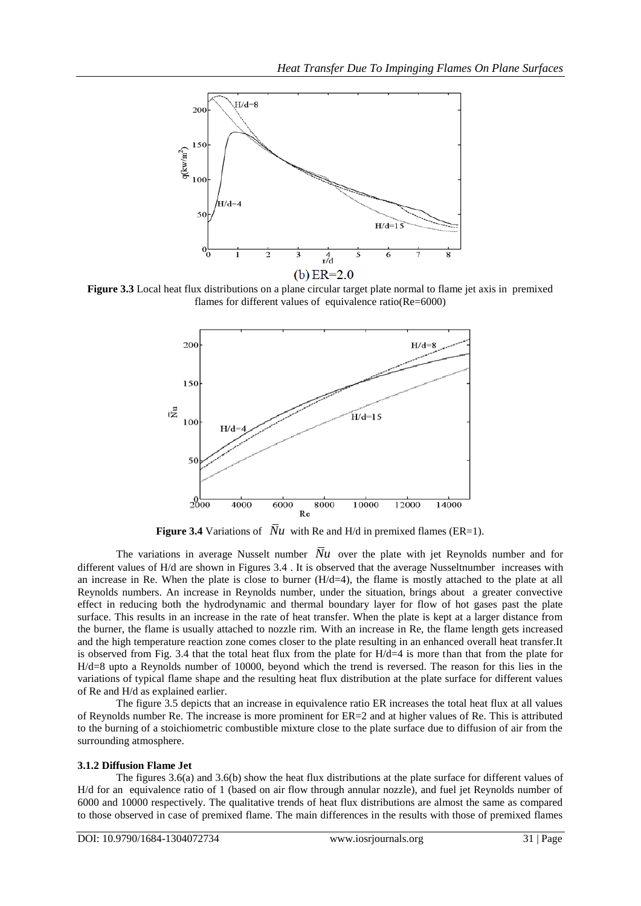

**Figure 3.3** Local heat flux distributions on a plane circular target plate normal to flame jet axis in premixed flames for different values of equivalence ratio(Re=6000)



**Figure 3.4** Variations of  $Nu$  with Re and H/d in premixed flames (ER=1).

The variations in average Nusselt number  $\overline{N}u$  over the plate with jet Reynolds number and for different values of H/d are shown in Figures 3.4 . It is observed that the average Nusseltnumber increases with an increase in Re. When the plate is close to burner  $(H/d=4)$ , the flame is mostly attached to the plate at all Reynolds numbers. An increase in Reynolds number, under the situation, brings about a greater convective effect in reducing both the hydrodynamic and thermal boundary layer for flow of hot gases past the plate surface. This results in an increase in the rate of heat transfer. When the plate is kept at a larger distance from the burner, the flame is usually attached to nozzle rim. With an increase in Re, the flame length gets increased and the high temperature reaction zone comes closer to the plate resulting in an enhanced overall heat transfer.It is observed from Fig. 3.4 that the total heat flux from the plate for H/d=4 is more than that from the plate for H/d=8 upto a Reynolds number of 10000, beyond which the trend is reversed. The reason for this lies in the variations of typical flame shape and the resulting heat flux distribution at the plate surface for different values of Re and H/d as explained earlier.

The figure 3.5 depicts that an increase in equivalence ratio ER increases the total heat flux at all values of Reynolds number Re. The increase is more prominent for ER=2 and at higher values of Re. This is attributed to the burning of a stoichiometric combustible mixture close to the plate surface due to diffusion of air from the surrounding atmosphere.

#### **3.1.2 Diffusion Flame Jet**

The figures 3.6(a) and 3.6(b) show the heat flux distributions at the plate surface for different values of H/d for an equivalence ratio of 1 (based on air flow through annular nozzle), and fuel jet Reynolds number of 6000 and 10000 respectively. The qualitative trends of heat flux distributions are almost the same as compared to those observed in case of premixed flame. The main differences in the results with those of premixed flames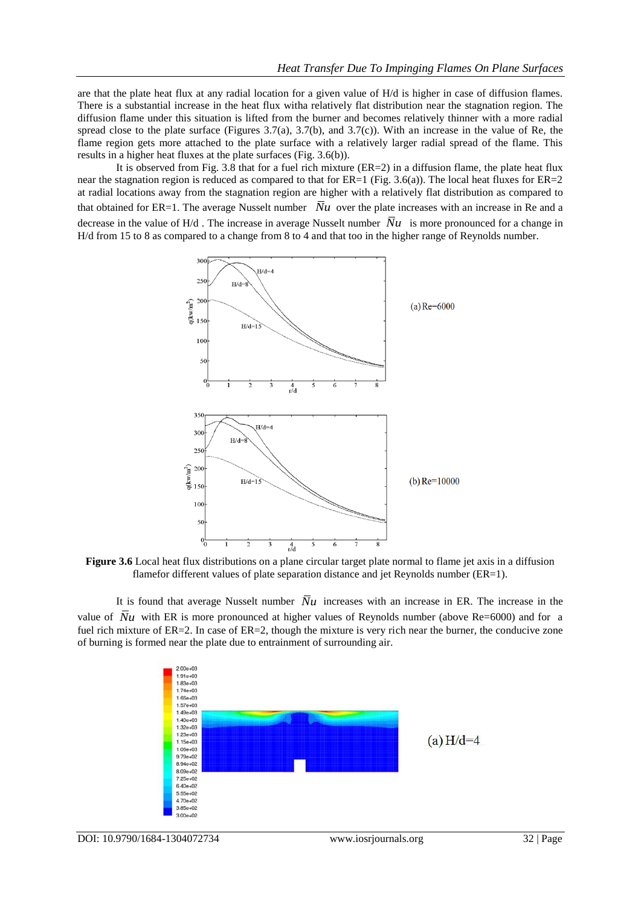are that the plate heat flux at any radial location for a given value of H/d is higher in case of diffusion flames. There is a substantial increase in the heat flux witha relatively flat distribution near the stagnation region. The diffusion flame under this situation is lifted from the burner and becomes relatively thinner with a more radial spread close to the plate surface (Figures 3.7(a), 3.7(b), and 3.7(c)). With an increase in the value of Re, the flame region gets more attached to the plate surface with a relatively larger radial spread of the flame. This results in a higher heat fluxes at the plate surfaces (Fig. 3.6(b)).

It is observed from Fig. 3.8 that for a fuel rich mixture (ER=2) in a diffusion flame, the plate heat flux near the stagnation region is reduced as compared to that for  $ER=1$  (Fig. 3.6(a)). The local heat fluxes for  $ER=2$ at radial locations away from the stagnation region are higher with a relatively flat distribution as compared to that obtained for ER=1. The average Nusselt number  $\bar{N}u$  over the plate increases with an increase in Re and a decrease in the value of H/d. The increase in average Nusselt number  $\overline{N}u$  is more pronounced for a change in H/d from 15 to 8 as compared to a change from 8 to 4 and that too in the higher range of Reynolds number.



**Figure 3.6** Local heat flux distributions on a plane circular target plate normal to flame jet axis in a diffusion flamefor different values of plate separation distance and jet Reynolds number (ER=1).

It is found that average Nusselt number  $\overline{N}u$  increases with an increase in ER. The increase in the value of  $\overline{N}u$  with ER is more pronounced at higher values of Reynolds number (above Re=6000) and for a fuel rich mixture of ER=2. In case of ER=2, though the mixture is very rich near the burner, the conducive zone of burning is formed near the plate due to entrainment of surrounding air.

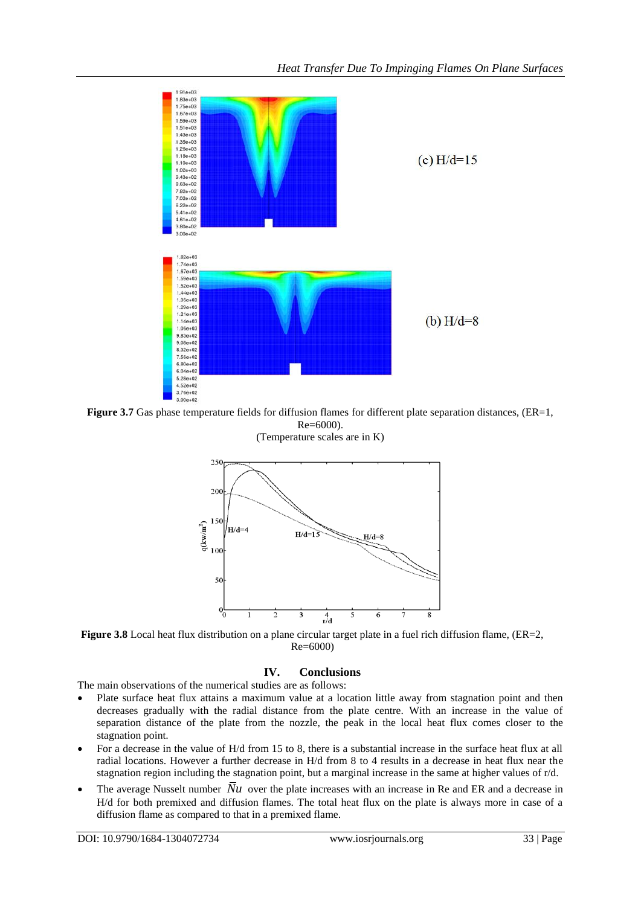

**Figure 3.7** Gas phase temperature fields for diffusion flames for different plate separation distances, (ER=1, Re=6000). (Temperature scales are in K)



**Figure 3.8** Local heat flux distribution on a plane circular target plate in a fuel rich diffusion flame, (ER=2, Re=6000)

#### **IV. Conclusions**

The main observations of the numerical studies are as follows:

- Plate surface heat flux attains a maximum value at a location little away from stagnation point and then decreases gradually with the radial distance from the plate centre. With an increase in the value of separation distance of the plate from the nozzle, the peak in the local heat flux comes closer to the stagnation point.
- For a decrease in the value of H/d from 15 to 8, there is a substantial increase in the surface heat flux at all radial locations. However a further decrease in H/d from 8 to 4 results in a decrease in heat flux near the stagnation region including the stagnation point, but a marginal increase in the same at higher values of r/d.
- The average Nusselt number  $\overline{N}u$  over the plate increases with an increase in Re and ER and a decrease in H/d for both premixed and diffusion flames. The total heat flux on the plate is always more in case of a diffusion flame as compared to that in a premixed flame.